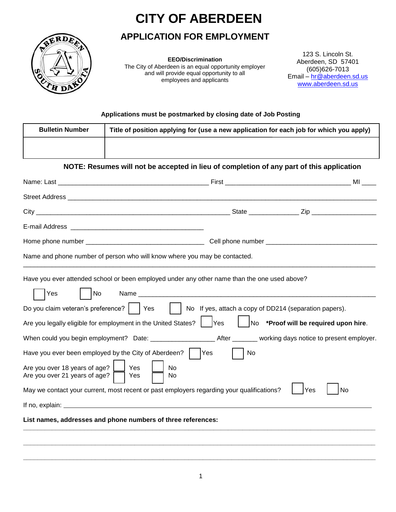# **CITY OF ABERDEEN**

## **APPLICATION FOR EMPLOYMENT**



**EEO/Discrimination** The City of Aberdeen is an equal opportunity employer and will provide equal opportunity to all employees and applicants

123 S. Lincoln St. Aberdeen, SD 57401 (605)626-7013 Email – hr @aberdeen.sd.us [www.aberdeen.sd.us](http://www.aberdeen.sd.us/)

#### **Applications must be postmarked by closing date of Job Posting**

| <b>Bulletin Number</b>                                                                                                           | Title of position applying for (use a new application for each job for which you apply)                                                                                                                                                                                                                                                                                                                                               |    |                                                                                                                                                                                                                                     |
|----------------------------------------------------------------------------------------------------------------------------------|---------------------------------------------------------------------------------------------------------------------------------------------------------------------------------------------------------------------------------------------------------------------------------------------------------------------------------------------------------------------------------------------------------------------------------------|----|-------------------------------------------------------------------------------------------------------------------------------------------------------------------------------------------------------------------------------------|
|                                                                                                                                  |                                                                                                                                                                                                                                                                                                                                                                                                                                       |    |                                                                                                                                                                                                                                     |
|                                                                                                                                  | NOTE: Resumes will not be accepted in lieu of completion of any part of this application                                                                                                                                                                                                                                                                                                                                              |    |                                                                                                                                                                                                                                     |
|                                                                                                                                  |                                                                                                                                                                                                                                                                                                                                                                                                                                       |    |                                                                                                                                                                                                                                     |
|                                                                                                                                  | Street Address and the street Address and the street Address and the street Address and the street Address and the street Address and the street Address and the street Address and the street Address and the street Address                                                                                                                                                                                                         |    |                                                                                                                                                                                                                                     |
|                                                                                                                                  |                                                                                                                                                                                                                                                                                                                                                                                                                                       |    |                                                                                                                                                                                                                                     |
|                                                                                                                                  |                                                                                                                                                                                                                                                                                                                                                                                                                                       |    |                                                                                                                                                                                                                                     |
|                                                                                                                                  |                                                                                                                                                                                                                                                                                                                                                                                                                                       |    |                                                                                                                                                                                                                                     |
|                                                                                                                                  | Name and phone number of person who will know where you may be contacted.                                                                                                                                                                                                                                                                                                                                                             |    |                                                                                                                                                                                                                                     |
| No<br><b>Yes</b><br>Do you claim veteran's preference?     Yes<br>Are you over 18 years of age?<br>Are you over 21 years of age? | Have you ever attended school or been employed under any other name than the one used above?<br>Are you legally eligible for employment in the United States?    Yes<br>Have you ever been employed by the City of Aberdeen?       Yes<br>Yes<br><b>No</b><br>Yes<br>No.<br>May we contact your current, most recent or past employers regarding your qualifications?<br>List names, addresses and phone numbers of three references: | No | No If yes, attach a copy of DD214 (separation papers).<br>No *Proof will be required upon hire.<br>When could you begin employment? Date: _____________________After _______ working days notice to present employer.<br> Yes<br>No |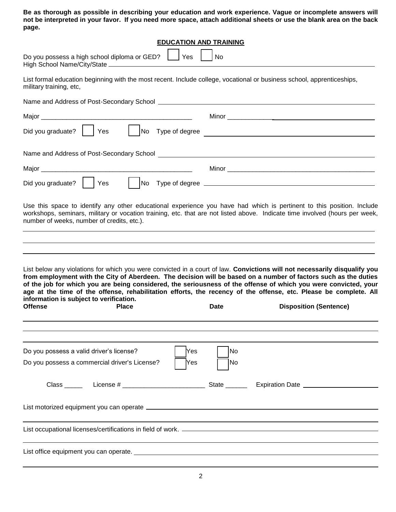**Be as thorough as possible in describing your education and work experience. Vague or incomplete answers will not be interpreted in your favor. If you need more space, attach additional sheets or use the blank area on the back page.**

|                                                                                                                        |              | <b>EDUCATION AND TRAINING</b> |             |                                                                                                                                                                                                                                                                                                                                                                                                                                                                                                                      |  |
|------------------------------------------------------------------------------------------------------------------------|--------------|-------------------------------|-------------|----------------------------------------------------------------------------------------------------------------------------------------------------------------------------------------------------------------------------------------------------------------------------------------------------------------------------------------------------------------------------------------------------------------------------------------------------------------------------------------------------------------------|--|
| Do you possess a high school diploma or GED?                                                                           |              | Yes                           | <b>No</b>   |                                                                                                                                                                                                                                                                                                                                                                                                                                                                                                                      |  |
| military training, etc,                                                                                                |              |                               |             | List formal education beginning with the most recent. Include college, vocational or business school, apprenticeships,                                                                                                                                                                                                                                                                                                                                                                                               |  |
|                                                                                                                        |              |                               |             |                                                                                                                                                                                                                                                                                                                                                                                                                                                                                                                      |  |
|                                                                                                                        |              |                               |             |                                                                                                                                                                                                                                                                                                                                                                                                                                                                                                                      |  |
| Did you graduate? $\vert$ $\vert$ Yes                                                                                  |              |                               |             | No Type of degree                                                                                                                                                                                                                                                                                                                                                                                                                                                                                                    |  |
|                                                                                                                        |              |                               |             | Name and Address of Post-Secondary School and the control of the control of the control of the control of the control of the control of the control of the control of the control of the control of the control of the control                                                                                                                                                                                                                                                                                       |  |
|                                                                                                                        |              |                               |             |                                                                                                                                                                                                                                                                                                                                                                                                                                                                                                                      |  |
| Did you graduate? $ $ $ $ Yes                                                                                          |              |                               |             |                                                                                                                                                                                                                                                                                                                                                                                                                                                                                                                      |  |
| information is subject to verification.<br><b>Offense</b>                                                              | <b>Place</b> |                               | <b>Date</b> | List below any violations for which you were convicted in a court of law. Convictions will not necessarily disqualify you<br>from employment with the City of Aberdeen. The decision will be based on a number of factors such as the duties<br>of the job for which you are being considered, the seriousness of the offense of which you were convicted, your<br>age at the time of the offense, rehabilitation efforts, the recency of the offense, etc. Please be complete. All<br><b>Disposition (Sentence)</b> |  |
| Do you possess a valid driver's license?<br>Do you possess a commercial driver's License?                              |              | Yes<br>Yes                    | No<br> No   |                                                                                                                                                                                                                                                                                                                                                                                                                                                                                                                      |  |
|                                                                                                                        |              |                               |             |                                                                                                                                                                                                                                                                                                                                                                                                                                                                                                                      |  |
|                                                                                                                        |              |                               |             |                                                                                                                                                                                                                                                                                                                                                                                                                                                                                                                      |  |
| List office equipment you can operate. <b>Example 2008</b> 2009 2012 2022 2023 2024 2022 2023 2024 2022 2023 2024 2022 |              |                               |             |                                                                                                                                                                                                                                                                                                                                                                                                                                                                                                                      |  |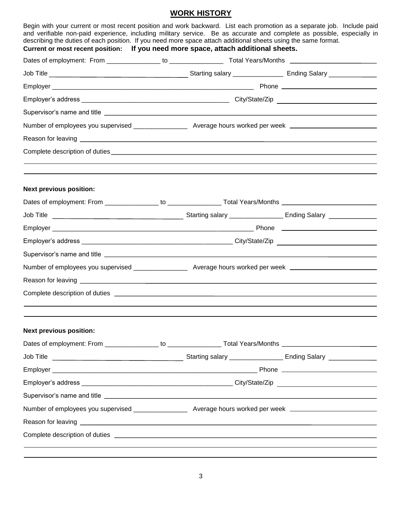## **WORK HISTORY**

| Begin with your current or most recent position and work backward. List each promotion as a separate job. Include paid<br>and verifiable non-paid experience, including military service. Be as accurate and complete as possible, especially in<br>describing the duties of each position. If you need more space attach additional sheets using the same format. |  |  |  |  |
|--------------------------------------------------------------------------------------------------------------------------------------------------------------------------------------------------------------------------------------------------------------------------------------------------------------------------------------------------------------------|--|--|--|--|
| Current or most recent position: If you need more space, attach additional sheets.                                                                                                                                                                                                                                                                                 |  |  |  |  |
|                                                                                                                                                                                                                                                                                                                                                                    |  |  |  |  |
|                                                                                                                                                                                                                                                                                                                                                                    |  |  |  |  |
|                                                                                                                                                                                                                                                                                                                                                                    |  |  |  |  |
|                                                                                                                                                                                                                                                                                                                                                                    |  |  |  |  |
| Supervisor's name and title <b>with the control of the control of the control of the control of the control of the control of the control of the control of the control of the control of the control of the control of the cont</b>                                                                                                                               |  |  |  |  |
|                                                                                                                                                                                                                                                                                                                                                                    |  |  |  |  |
|                                                                                                                                                                                                                                                                                                                                                                    |  |  |  |  |
|                                                                                                                                                                                                                                                                                                                                                                    |  |  |  |  |
| <b>Next previous position:</b>                                                                                                                                                                                                                                                                                                                                     |  |  |  |  |
|                                                                                                                                                                                                                                                                                                                                                                    |  |  |  |  |
|                                                                                                                                                                                                                                                                                                                                                                    |  |  |  |  |
|                                                                                                                                                                                                                                                                                                                                                                    |  |  |  |  |
|                                                                                                                                                                                                                                                                                                                                                                    |  |  |  |  |
|                                                                                                                                                                                                                                                                                                                                                                    |  |  |  |  |
|                                                                                                                                                                                                                                                                                                                                                                    |  |  |  |  |
|                                                                                                                                                                                                                                                                                                                                                                    |  |  |  |  |
|                                                                                                                                                                                                                                                                                                                                                                    |  |  |  |  |
| <b>Next previous position:</b>                                                                                                                                                                                                                                                                                                                                     |  |  |  |  |
|                                                                                                                                                                                                                                                                                                                                                                    |  |  |  |  |
|                                                                                                                                                                                                                                                                                                                                                                    |  |  |  |  |
|                                                                                                                                                                                                                                                                                                                                                                    |  |  |  |  |
|                                                                                                                                                                                                                                                                                                                                                                    |  |  |  |  |
|                                                                                                                                                                                                                                                                                                                                                                    |  |  |  |  |
| Number of employees you supervised _________________ Average hours worked per week _________________                                                                                                                                                                                                                                                               |  |  |  |  |
| Reason for leaving <u>example and the contract of the contract of the contract of the contract of the contract of</u>                                                                                                                                                                                                                                              |  |  |  |  |
|                                                                                                                                                                                                                                                                                                                                                                    |  |  |  |  |
|                                                                                                                                                                                                                                                                                                                                                                    |  |  |  |  |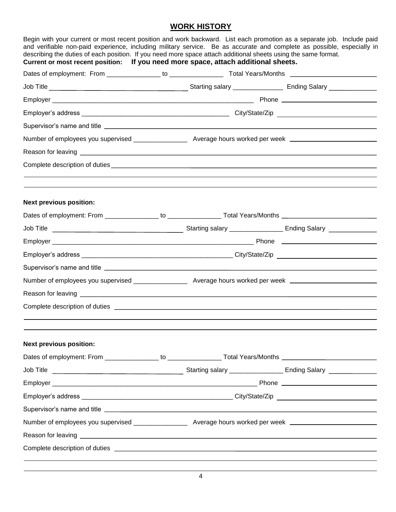### **WORK HISTORY**

| Current or most recent position: If you need more space, attach additional sheets.                                                                                                                                                   |  |  |  |  |
|--------------------------------------------------------------------------------------------------------------------------------------------------------------------------------------------------------------------------------------|--|--|--|--|
|                                                                                                                                                                                                                                      |  |  |  |  |
|                                                                                                                                                                                                                                      |  |  |  |  |
|                                                                                                                                                                                                                                      |  |  |  |  |
|                                                                                                                                                                                                                                      |  |  |  |  |
|                                                                                                                                                                                                                                      |  |  |  |  |
|                                                                                                                                                                                                                                      |  |  |  |  |
| Reason for leaving <b>example and the contract of the contract of the contract of the contract of the contract of the contract of the contract of the contract of the contract of the contract of the contract of the contract o</b> |  |  |  |  |
|                                                                                                                                                                                                                                      |  |  |  |  |
| <b>Next previous position:</b>                                                                                                                                                                                                       |  |  |  |  |
|                                                                                                                                                                                                                                      |  |  |  |  |
|                                                                                                                                                                                                                                      |  |  |  |  |
|                                                                                                                                                                                                                                      |  |  |  |  |
|                                                                                                                                                                                                                                      |  |  |  |  |
|                                                                                                                                                                                                                                      |  |  |  |  |
|                                                                                                                                                                                                                                      |  |  |  |  |
|                                                                                                                                                                                                                                      |  |  |  |  |
|                                                                                                                                                                                                                                      |  |  |  |  |
| <b>Next previous position:</b>                                                                                                                                                                                                       |  |  |  |  |
|                                                                                                                                                                                                                                      |  |  |  |  |
|                                                                                                                                                                                                                                      |  |  |  |  |
|                                                                                                                                                                                                                                      |  |  |  |  |
|                                                                                                                                                                                                                                      |  |  |  |  |
|                                                                                                                                                                                                                                      |  |  |  |  |
| Number of employees you supervised __________________ Average hours worked per week ______________________                                                                                                                           |  |  |  |  |
| Reason for leaving <u>entitled and the control of the control of the control of the control of the control of the control of the control of the control of the control of the control of the control of the control of the contr</u> |  |  |  |  |
| Complete description of duties experience of the service of the service of the service of the service of the service of the service of the service of the service of the service of the service of the service of the service        |  |  |  |  |